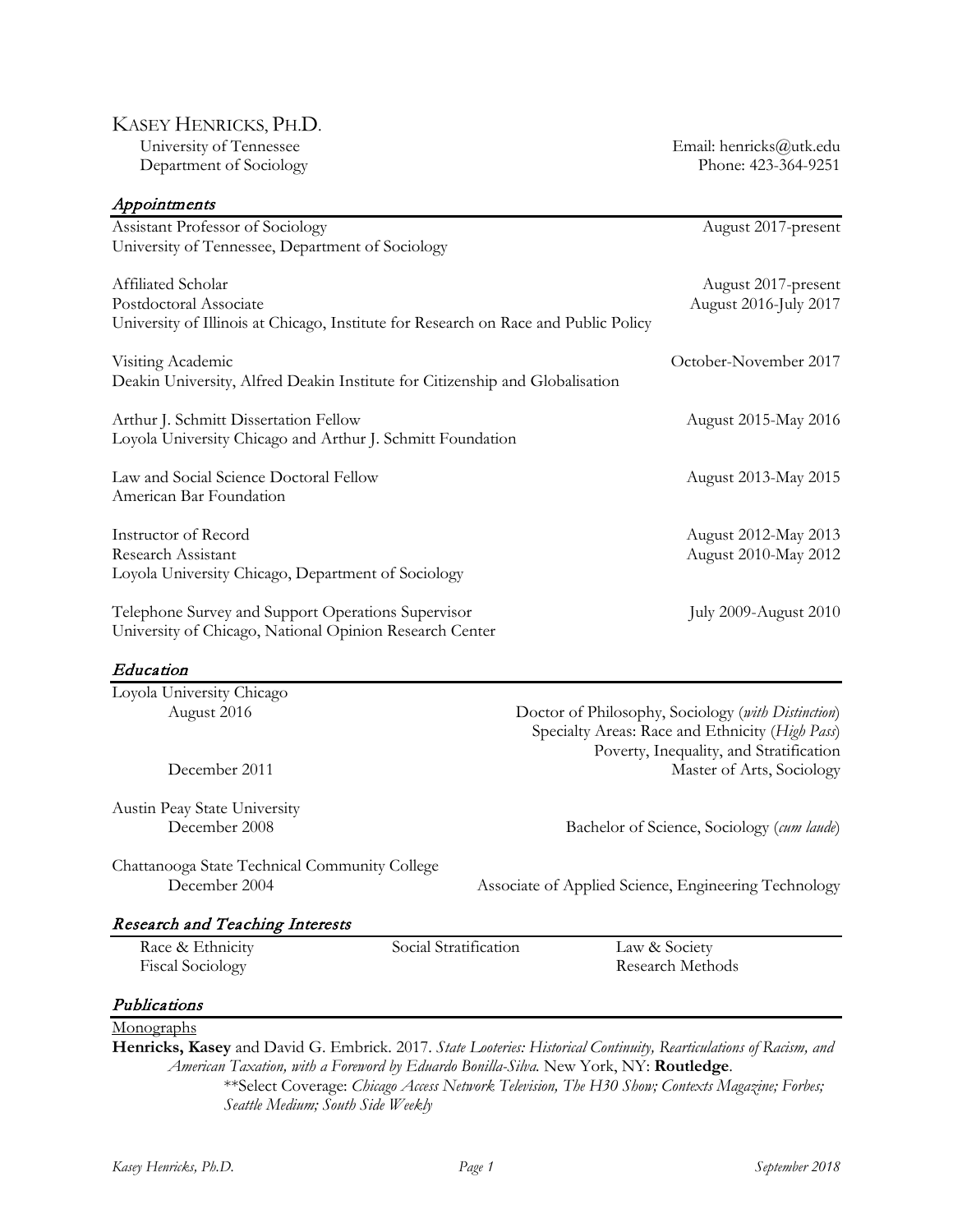# KASEY HENRICKS, PH.D.<br>University of Tennessee

Department of Sociology

| Appointments                                                                        |                       |                                                      |
|-------------------------------------------------------------------------------------|-----------------------|------------------------------------------------------|
| Assistant Professor of Sociology                                                    |                       | August 2017-present                                  |
| University of Tennessee, Department of Sociology                                    |                       |                                                      |
| Affiliated Scholar                                                                  |                       | August 2017-present                                  |
| Postdoctoral Associate                                                              |                       | August 2016-July 2017                                |
| University of Illinois at Chicago, Institute for Research on Race and Public Policy |                       |                                                      |
| Visiting Academic                                                                   |                       | October-November 2017                                |
| Deakin University, Alfred Deakin Institute for Citizenship and Globalisation        |                       |                                                      |
| Arthur J. Schmitt Dissertation Fellow                                               |                       | August 2015-May 2016                                 |
| Loyola University Chicago and Arthur J. Schmitt Foundation                          |                       |                                                      |
| Law and Social Science Doctoral Fellow                                              |                       | August 2013-May 2015                                 |
| American Bar Foundation                                                             |                       |                                                      |
| Instructor of Record                                                                |                       | August 2012-May 2013                                 |
| Research Assistant                                                                  |                       | August 2010-May 2012                                 |
| Loyola University Chicago, Department of Sociology                                  |                       |                                                      |
| Telephone Survey and Support Operations Supervisor                                  |                       | <b>July 2009-August 2010</b>                         |
| University of Chicago, National Opinion Research Center                             |                       |                                                      |
| Education                                                                           |                       |                                                      |
| Loyola University Chicago                                                           |                       |                                                      |
| August 2016                                                                         |                       | Doctor of Philosophy, Sociology (with Distinction)   |
|                                                                                     |                       | Specialty Areas: Race and Ethnicity (High Pass)      |
|                                                                                     |                       | Poverty, Inequality, and Stratification              |
| December 2011                                                                       |                       | Master of Arts, Sociology                            |
| Austin Peay State University                                                        |                       |                                                      |
| December 2008                                                                       |                       | Bachelor of Science, Sociology (cum laude)           |
| Chattanooga State Technical Community College                                       |                       |                                                      |
| December 2004                                                                       |                       | Associate of Applied Science, Engineering Technology |
| <b>Research and Teaching Interests</b>                                              |                       |                                                      |
| Race & Ethnicity                                                                    | Social Stratification | Law & Society                                        |
| <b>Fiscal Sociology</b>                                                             |                       | Research Methods                                     |
| Publications                                                                        |                       |                                                      |
| Monographs                                                                          |                       |                                                      |

**Henricks, Kasey** and David G. Embrick. 2017. *State Looteries: Historical Continuity, Rearticulations of Racism, and American Taxation, with a Foreword by Eduardo Bonilla-Silva.* New York, NY: **Routledge**. \*\*Select Coverage: *Chicago Access Network Television, The H30 Show; [Contexts Magazine;](http://contexts.org/articles/before-you-buy-your-lottery-ticket-consider-this/) [Forbes;](http://www.forbes.com/sites/janetnovack/2016/01/12/the-state-house-always-wins-taxes-on-a-1-5-billion-jackpot-are-the-least-of-it/#2715e4857a0b740c4f6c6844) [Seattle Medium;](http://seattlemedium.com/dr-king-did-not-dream-of-winning-the-lottery/) [South Side Weekly](http://southsideweekly.com/illinois-lottery-exacerbates-inequities-chicago/)*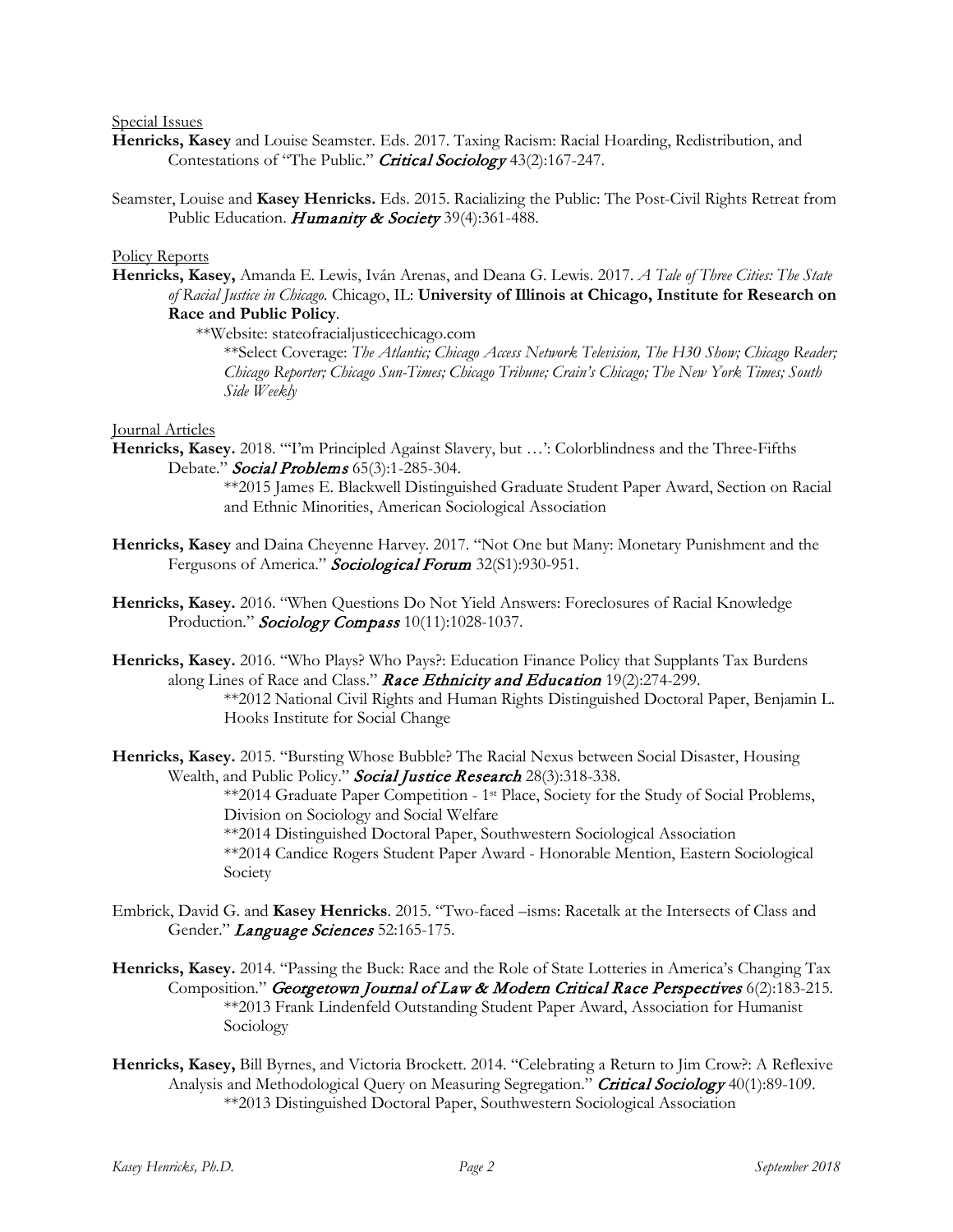## Special Issues

- **Henricks, Kasey** and Louise Seamster. Eds. 2017. Taxing Racism: Racial Hoarding, Redistribution, and Contestations of "The Public." Critical Sociology 43(2):167-247.
- Seamster, Louise and **Kasey Henricks.** Eds. 2015. Racializing the Public: The Post-Civil Rights Retreat from Public Education. Humanity & Society 39(4):361-488.

#### Policy Reports

**Henricks, Kasey,** Amanda E. Lewis, Iván Arenas, and Deana G. Lewis. 2017. *A Tale of Three Cities: The State of Racial Justice in Chicago.* Chicago, IL: **University of Illinois at Chicago, Institute for Research on Race and Public Policy**.

\*\*Website: stateofracialjusticechicago.com

\*\*Select Coverage: *The Atlantic; Chicago Access Network Television, The H30 Show; Chicago Reader; Chicago Reporter; Chicago Sun-Times; Chicago Tribune; Crain's Chicago; The New York Times; [South](http://southsideweekly.com/illinois-lottery-exacerbates-inequities-chicago/)  [Side Weekly](http://southsideweekly.com/illinois-lottery-exacerbates-inequities-chicago/)*

#### Journal Articles

**Henricks, Kasey.** 2018. "'I'm Principled Against Slavery, but …': Colorblindness and the Three-Fifths Debate." **Social Problems** 65(3):1-285-304.

> \*\*2015 James E. Blackwell Distinguished Graduate Student Paper Award, Section on Racial and Ethnic Minorities, American Sociological Association

- **Henricks, Kasey** and Daina Cheyenne Harvey. 2017. "Not One but Many: Monetary Punishment and the Fergusons of America." Sociological Forum 32(S1):930-951.
- **Henricks, Kasey.** 2016. "When Questions Do Not Yield Answers: Foreclosures of Racial Knowledge Production." Sociology Compass 10(11):1028-1037.
- **Henricks, Kasey.** 2016. "Who Plays? Who Pays?: Education Finance Policy that Supplants Tax Burdens along Lines of Race and Class." Race Ethnicity and Education 19(2):274-299. \*\*2012 National Civil Rights and Human Rights Distinguished Doctoral Paper, Benjamin L. Hooks Institute for Social Change

**Henricks, Kasey.** 2015. "Bursting Whose Bubble? The Racial Nexus between Social Disaster, Housing Wealth, and Public Policy." Social Justice Research 28(3):318-338. \*\*2014 Graduate Paper Competition - 1st Place, Society for the Study of Social Problems, Division on Sociology and Social Welfare \*\*2014 Distinguished Doctoral Paper, Southwestern Sociological Association \*\*2014 Candice Rogers Student Paper Award - Honorable Mention, Eastern Sociological Society

- Embrick, David G. and **Kasey Henricks**. 2015. "Two-faced –isms: Racetalk at the Intersects of Class and Gender." Language Sciences 52:165-175.
- **Henricks, Kasey.** 2014. "Passing the Buck: Race and the Role of State Lotteries in America's Changing Tax Composition." Georgetown Journal of Law & Modern Critical Race Perspectives 6(2):183-215. \*\*2013 Frank Lindenfeld Outstanding Student Paper Award, Association for Humanist Sociology
- **Henricks, Kasey,** Bill Byrnes, and Victoria Brockett. 2014. "Celebrating a Return to Jim Crow?: A Reflexive Analysis and Methodological Query on Measuring Segregation." Critical Sociology 40(1):89-109. \*\*2013 Distinguished Doctoral Paper, Southwestern Sociological Association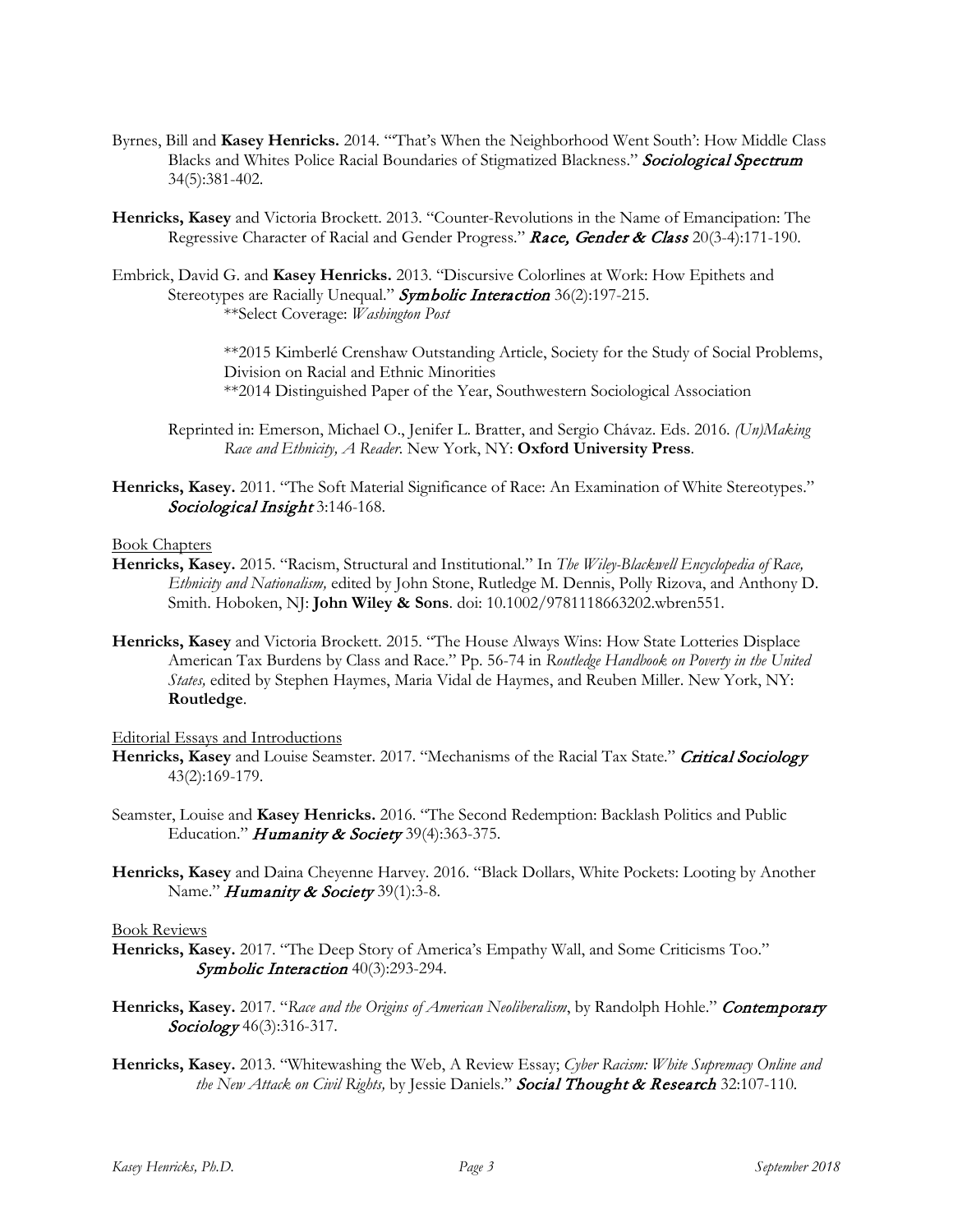- Byrnes, Bill and **Kasey Henricks.** 2014. "'That's When the Neighborhood Went South': How Middle Class Blacks and Whites Police Racial Boundaries of Stigmatized Blackness." Sociological Spectrum 34(5):381-402.
- **Henricks, Kasey** and Victoria Brockett. 2013. "Counter-Revolutions in the Name of Emancipation: The Regressive Character of Racial and Gender Progress." Race, Gender & Class 20(3-4):171-190.
- Embrick, David G. and **Kasey Henricks.** 2013. "Discursive Colorlines at Work: How Epithets and Stereotypes are Racially Unequal." Symbolic Interaction 36(2):197-215. \*\*Select Coverage: *Washington Post*

\*\*2015 Kimberlé Crenshaw Outstanding Article, Society for the Study of Social Problems, Division on Racial and Ethnic Minorities \*\*2014 Distinguished Paper of the Year, Southwestern Sociological Association

- Reprinted in: Emerson, Michael O., Jenifer L. Bratter, and Sergio Chávaz. Eds. 2016. *(Un)Making Race and Ethnicity, A Reader.* New York, NY: **Oxford University Press**.
- **Henricks, Kasey.** 2011. "The Soft Material Significance of Race: An Examination of White Stereotypes." Sociological Insight 3:146-168.

#### Book Chapters

- **Henricks, Kasey.** 2015. "Racism, Structural and Institutional." In *The Wiley-Blackwell Encyclopedia of Race, Ethnicity and Nationalism,* edited by John Stone, Rutledge M. Dennis, Polly Rizova, and Anthony D. Smith. Hoboken, NJ: **John Wiley & Sons**. doi: 10.1002/9781118663202.wbren551.
- **Henricks, Kasey** and Victoria Brockett. 2015. "The House Always Wins: How State Lotteries Displace American Tax Burdens by Class and Race." Pp. 56-74 in *Routledge Handbook on Poverty in the United States,* edited by Stephen Haymes, Maria Vidal de Haymes, and Reuben Miller. New York, NY: **Routledge**.

## Editorial Essays and Introductions

- Henricks, Kasey and Louise Seamster. 2017. "Mechanisms of the Racial Tax State." Critical Sociology 43(2):169-179.
- Seamster, Louise and **Kasey Henricks.** 2016. "The Second Redemption: Backlash Politics and Public Education." *Humanity & Society* 39(4):363-375.
- **Henricks, Kasey** and Daina Cheyenne Harvey. 2016. "Black Dollars, White Pockets: Looting by Another Name." *Humanity & Society* 39(1):3-8.

#### Book Reviews

- **Henricks, Kasey.** 2017. "The Deep Story of America's Empathy Wall, and Some Criticisms Too." Symbolic Interaction 40(3):293-294.
- **Henricks, Kasey.** 2017. "*Race and the Origins of American Neoliberalism*, by Randolph Hohle." Contemporary Sociology 46(3):316-317.
- **Henricks, Kasey.** 2013. "Whitewashing the Web, A Review Essay; *Cyber Racism: White Supremacy Online and the New Attack on Civil Rights,* by Jessie Daniels." Social Thought & Research 32:107-110*.*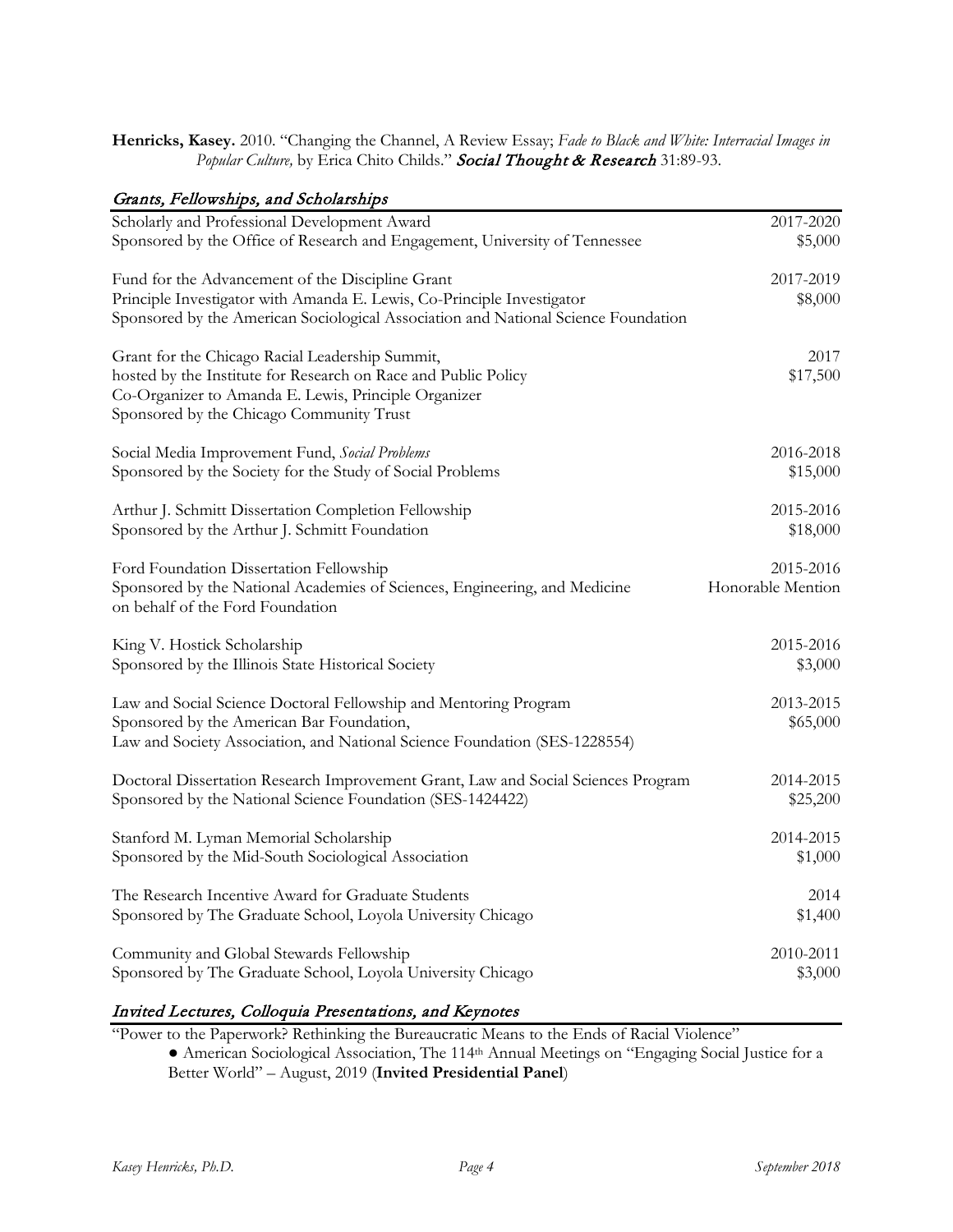**Henricks, Kasey.** 2010. "Changing the Channel, A Review Essay; *Fade to Black and White: Interracial Images in*  Popular Culture, by Erica Chito Childs." Social Thought & Research 31:89-93.

# Grants, Fellowships, and Scholarships

| Scholarly and Professional Development Award                                       | 2017-2020         |
|------------------------------------------------------------------------------------|-------------------|
| Sponsored by the Office of Research and Engagement, University of Tennessee        | \$5,000           |
|                                                                                    |                   |
| Fund for the Advancement of the Discipline Grant                                   | 2017-2019         |
| Principle Investigator with Amanda E. Lewis, Co-Principle Investigator             | \$8,000           |
| Sponsored by the American Sociological Association and National Science Foundation |                   |
|                                                                                    |                   |
| Grant for the Chicago Racial Leadership Summit,                                    | 2017              |
| hosted by the Institute for Research on Race and Public Policy                     | \$17,500          |
| Co-Organizer to Amanda E. Lewis, Principle Organizer                               |                   |
|                                                                                    |                   |
| Sponsored by the Chicago Community Trust                                           |                   |
| Social Media Improvement Fund, Social Problems                                     | 2016-2018         |
|                                                                                    |                   |
| Sponsored by the Society for the Study of Social Problems                          | \$15,000          |
| Arthur J. Schmitt Dissertation Completion Fellowship                               | 2015-2016         |
| Sponsored by the Arthur J. Schmitt Foundation                                      | \$18,000          |
|                                                                                    |                   |
| Ford Foundation Dissertation Fellowship                                            | 2015-2016         |
| Sponsored by the National Academies of Sciences, Engineering, and Medicine         | Honorable Mention |
| on behalf of the Ford Foundation                                                   |                   |
|                                                                                    |                   |
| King V. Hostick Scholarship                                                        | 2015-2016         |
| Sponsored by the Illinois State Historical Society                                 | \$3,000           |
|                                                                                    |                   |
| Law and Social Science Doctoral Fellowship and Mentoring Program                   | 2013-2015         |
| Sponsored by the American Bar Foundation,                                          | \$65,000          |
| Law and Society Association, and National Science Foundation (SES-1228554)         |                   |
|                                                                                    |                   |
| Doctoral Dissertation Research Improvement Grant, Law and Social Sciences Program  | 2014-2015         |
| Sponsored by the National Science Foundation (SES-1424422)                         | \$25,200          |
|                                                                                    |                   |
| Stanford M. Lyman Memorial Scholarship                                             | 2014-2015         |
| Sponsored by the Mid-South Sociological Association                                | \$1,000           |
|                                                                                    |                   |
| The Research Incentive Award for Graduate Students                                 | 2014              |
| Sponsored by The Graduate School, Loyola University Chicago                        | \$1,400           |
|                                                                                    |                   |
| Community and Global Stewards Fellowship                                           | 2010-2011         |
| Sponsored by The Graduate School, Loyola University Chicago                        | \$3,000           |
|                                                                                    |                   |

# Invited Lectures, Colloquia Presentations, and Keynotes

"Power to the Paperwork? Rethinking the Bureaucratic Means to the Ends of Racial Violence"

● American Sociological Association, The 114th Annual Meetings on "Engaging Social Justice for a Better World" – August, 2019 (**Invited Presidential Panel**)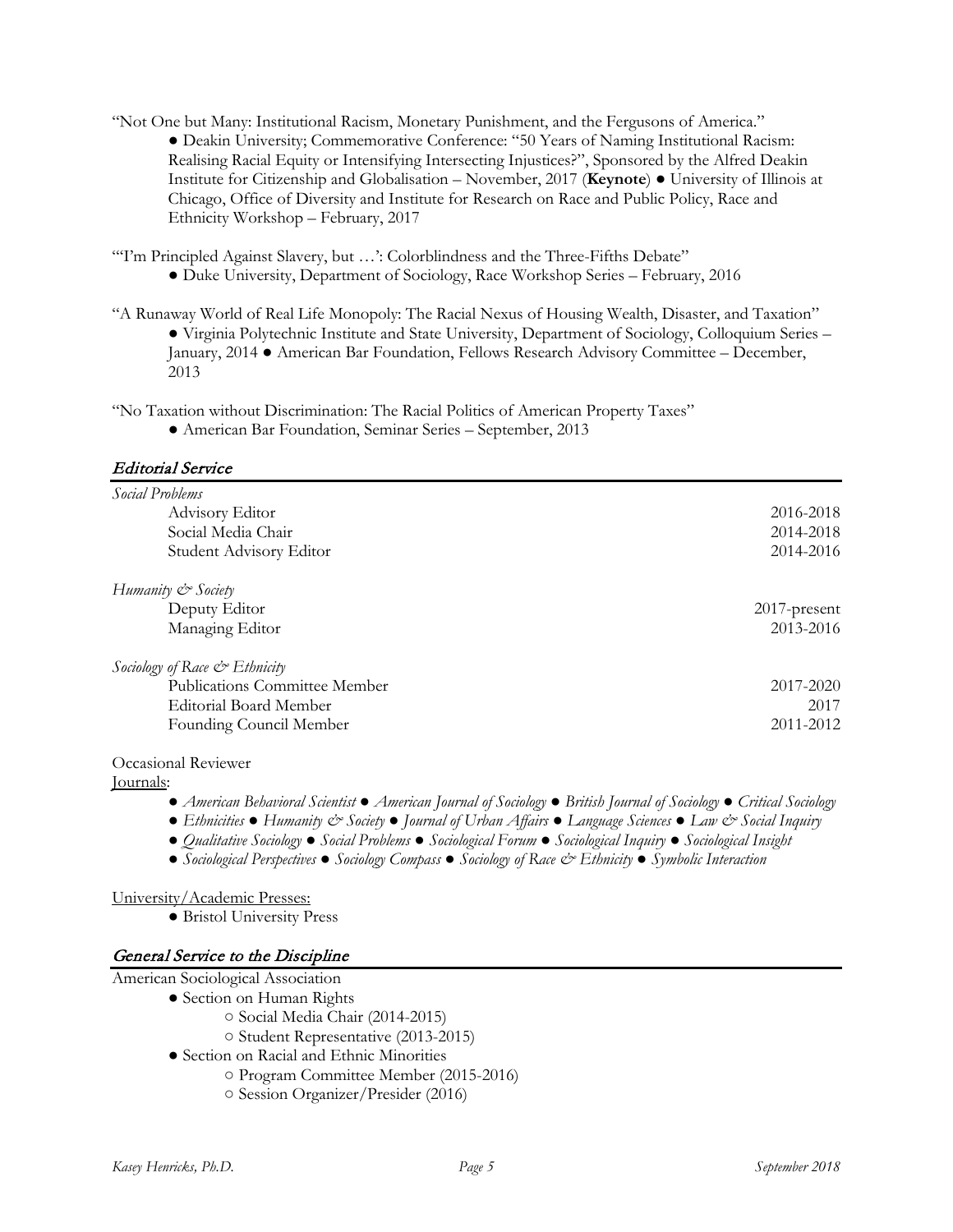"Not One but Many: Institutional Racism, Monetary Punishment, and the Fergusons of America."

● Deakin University; Commemorative Conference: "50 Years of Naming Institutional Racism: Realising Racial Equity or Intensifying Intersecting Injustices?", Sponsored by the Alfred Deakin Institute for Citizenship and Globalisation – November, 2017 (**Keynote**) ● University of Illinois at Chicago, Office of Diversity and Institute for Research on Race and Public Policy, Race and Ethnicity Workshop – February, 2017

"Tm Principled Against Slavery, but ...": Colorblindness and the Three-Fifths Debate" ● Duke University, Department of Sociology, Race Workshop Series – February, 2016

"A Runaway World of Real Life Monopoly: The Racial Nexus of Housing Wealth, Disaster, and Taxation" ● Virginia Polytechnic Institute and State University, Department of Sociology, Colloquium Series – January, 2014 ● American Bar Foundation, Fellows Research Advisory Committee – December, 2013

"No Taxation without Discrimination: The Racial Politics of American Property Taxes"

● American Bar Foundation, Seminar Series – September, 2013

# Editorial Service

| Social Problems               |                 |
|-------------------------------|-----------------|
| Advisory Editor               | 2016-2018       |
| Social Media Chair            | 2014-2018       |
| Student Advisory Editor       | 2014-2016       |
| Humanity & Society            |                 |
| Deputy Editor                 | $2017$ -present |
| Managing Editor               | 2013-2016       |
| Sociology of Race & Ethnicity |                 |
| Publications Committee Member | 2017-2020       |
| Editorial Board Member        | 2017            |
| Founding Council Member       | 2011-2012       |

Occasional Reviewer

Journals:

- *American Behavioral Scientist American Journal of Sociology British Journal of Sociology Critical Sociology*
- *Ethnicities Humanity & Society Journal of Urban Affairs Language Sciences Law & Social Inquiry*
- *Qualitative Sociology Social Problems Sociological Forum Sociological Inquiry Sociological Insight*
- *Sociological Perspectives Sociology Compass Sociology of Race & Ethnicity Symbolic Interaction*

# University/Academic Presses:

● Bristol University Press

# General Service to the Discipline

American Sociological Association

- Section on Human Rights
	- Social Media Chair (2014-2015)
	- Student Representative (2013-2015)
	- Section on Racial and Ethnic Minorities
		- Program Committee Member (2015-2016)
		- Session Organizer/Presider (2016)